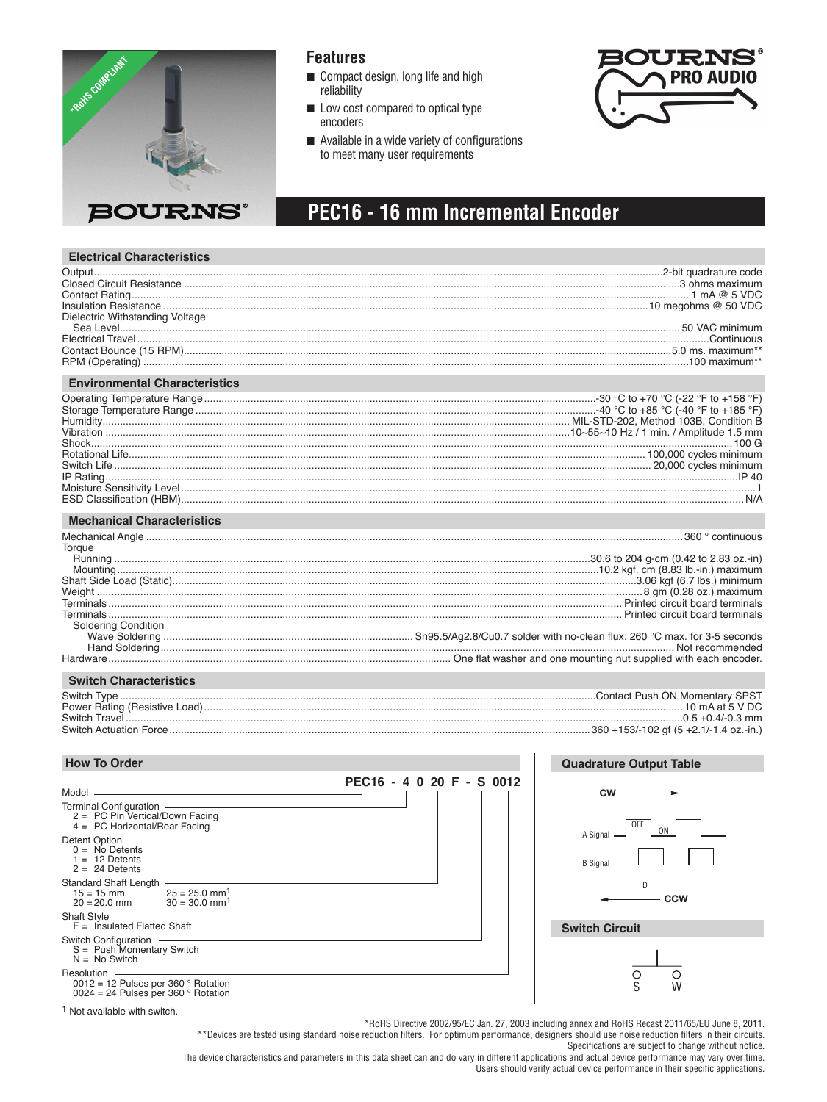

### **Features**

- Compact design, long life and high reliability
- Low cost compared to optical type encoders
- $\blacksquare$  Available in a wide variety of configurations to meet many user requirements



#### **PEC16 - 16 mm Incremental Encoder** Y A C B 0.9 ± 0.1 3.5 m l

#### **Electrical Characteristics**

| Dielectric Withstanding Voltage      |                                           |
|--------------------------------------|-------------------------------------------|
|                                      |                                           |
|                                      |                                           |
|                                      |                                           |
|                                      |                                           |
| <b>Environmental Characteristics</b> |                                           |
|                                      |                                           |
|                                      |                                           |
|                                      |                                           |
|                                      |                                           |
|                                      |                                           |
|                                      |                                           |
|                                      |                                           |
|                                      |                                           |
|                                      |                                           |
|                                      |                                           |
| <b>Mechanical Characteristics</b>    |                                           |
| .                                    | $\sim$ $\sim$ $\sim$ $\sim$ $\sim$ $\sim$ |

| Torque                     |  |
|----------------------------|--|
|                            |  |
|                            |  |
|                            |  |
|                            |  |
|                            |  |
|                            |  |
| <b>Soldering Condition</b> |  |
|                            |  |
|                            |  |
|                            |  |
|                            |  |

...

SURFACE

#### **Switch Characteristics**

| Switch Type                   |
|-------------------------------|
| Power Rating (Resistive Load) |
| Switch Travel                 |
| Switch Actuation Force        |

Switch Type ....................................................................................................................................................................Contact Push ON Momentary SPST C Power Rating (Resistive Load).....................................................................................................................................................................10 mA at 5 V DC Switch Travel ................................................................................................................................................................................................0.5 +0.4/-0.3 mm D 2.5 ± 0.1 Switch Actuation Force.................................................................................................................................................360 +153/-102 gf (5 +2.1/-1.4 oz.-in.) 1.0 +0.2/-0 5 PLCS. (.098 ± .004)

### How To Order

| <b>How To Order</b>                                                                                                                                                                                                                                                                                                      |                           | <b>Quadrature Output Table</b>                                                        |
|--------------------------------------------------------------------------------------------------------------------------------------------------------------------------------------------------------------------------------------------------------------------------------------------------------------------------|---------------------------|---------------------------------------------------------------------------------------|
| Model ______________<br>Terminal Configuration -<br>$2 = PC Pin Vertical/Down Facing$<br>4 = PC Horizontal/Rear Facing<br>Detent Option<br>$0 = No$ Detents<br>$1 = 12$ Detents<br>$2 = 24$ Detents<br>Standard Shaft Length -<br>$15 = 15$ mm $25 = 25.0$ mm <sup>1</sup><br>$20 = 20.0$ mm $30 = 30.0$ mm <sup>1</sup> | PEC16 - 4 0 20 F - S 0012 | $cw \longrightarrow$<br>OFF<br>0N<br>A Signal -<br><b>B</b> Signal<br>D<br><b>CCW</b> |
| $F =$ Insulated Flatted Shaft                                                                                                                                                                                                                                                                                            |                           | <b>Switch Circuit</b>                                                                 |
| <b>Switch Configuration</b><br>$S =$ Push Momentary Switch<br>$N = No$ Switch<br>Resolution -<br>0012 = 12 Pulses per 360 $\degree$ Rotation<br>0024 = 24 Pulses per 360 $\degree$ Rotation                                                                                                                              |                           | ( )<br>W                                                                              |

1 Not available with switch.

\*RoHS Directive 2002/95/EC Jan. 27, 2003 including annex and RoHS Recast 2011/65/EU June 8, 2011.

\*\*Devices are tested using standard noise reduction filters. For optimum performance, designers should use noise reduction filters in their circuits. Specifications are subject to change without notice.

The device characteristics and parameters in this data sheet can and do vary in different applications and actual device performance may vary over time. Users should verify actual device performance in their specific applications.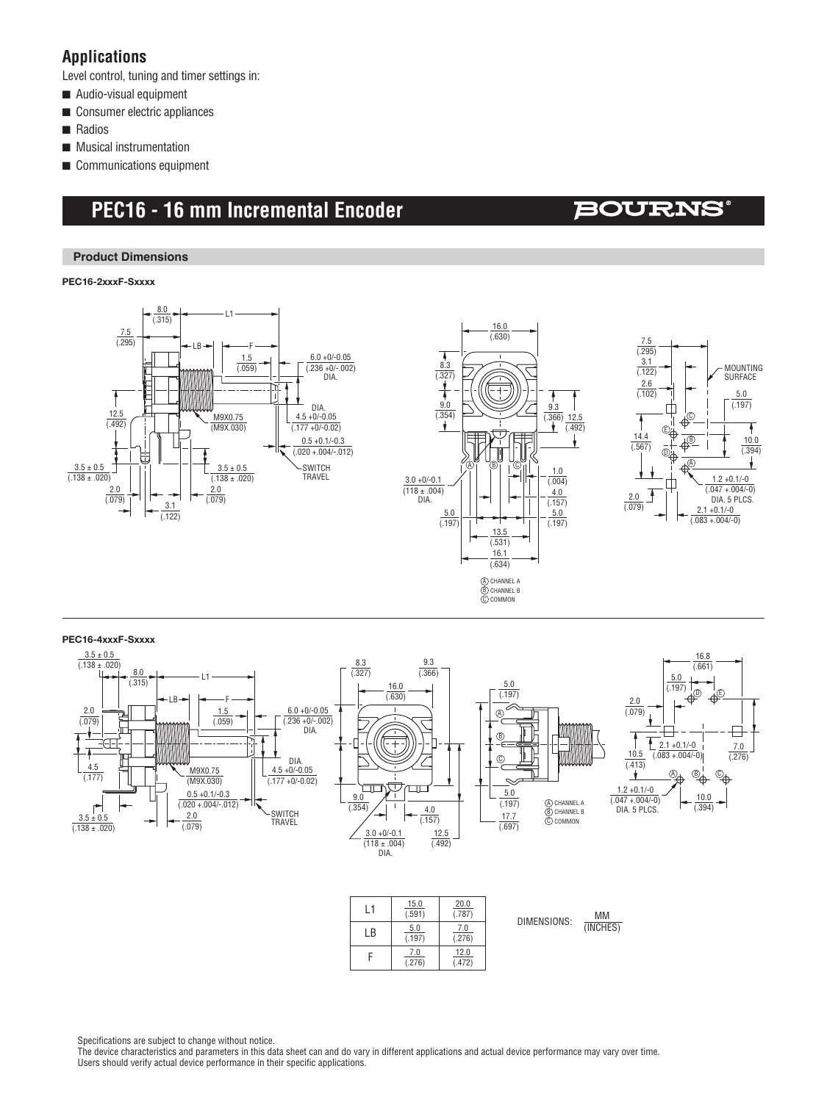### **Applications**

Level control, tuning and timer settings in:

- $\blacksquare$  Audio-visual equipment
- $\blacksquare$  Consumer electric appliances
- **n** Radios
- $\blacksquare$  Musical instrumentation
- $\blacksquare$  Communications equipment

# **PEC16 - 16 mm Incremental Encoder**

# **BOURNS®**

#### **Product Dimensions**

**PEC16-2xxxF-Sxxxx**







#### **PEC16-4xxxF-Sxxxx**



| l 1 | 15.0<br>(.591) | 20.0<br>(.787) |  |
|-----|----------------|----------------|--|
| l B | 5.0<br>(.197)  | 7.0<br>(.276)  |  |
|     | 7.0<br>(.276)  | 12.0<br>(.472) |  |

DIMENSIONS:  $\frac{MM}{MMSH}$ (INCHES)

Specifications are subject to change without notice.

The device characteristics and parameters in this data sheet can and do vary in different applications and actual device performance may vary over time. Users should verify actual device performance in their specific applications.